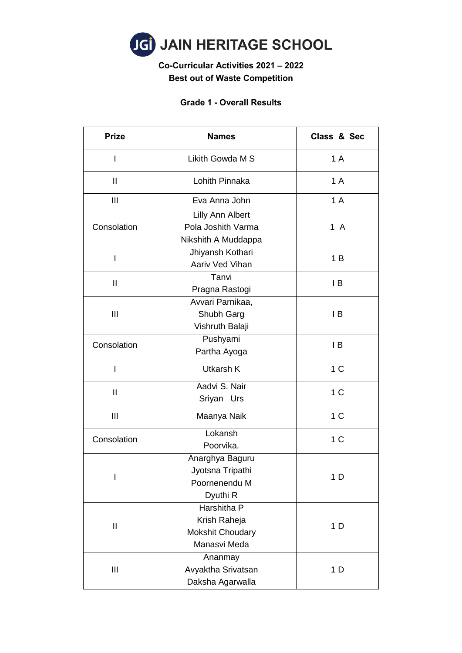

## **Co-Curricular Activities 2021 – 2022 Best out of Waste Competition**

### **Grade 1 - Overall Results**

| <b>Prize</b>                                                          | <b>Names</b>                                                           | Class & Sec    |  |
|-----------------------------------------------------------------------|------------------------------------------------------------------------|----------------|--|
| I                                                                     | Likith Gowda M S                                                       | 1 A            |  |
| $\mathbf{I}$                                                          | Lohith Pinnaka                                                         | 1 A            |  |
| Ш                                                                     | Eva Anna John                                                          | 1 A            |  |
| Consolation                                                           | Lilly Ann Albert<br>Pola Joshith Varma<br>Nikshith A Muddappa          | 1 A            |  |
| I                                                                     | Jhiyansh Kothari<br>Aariv Ved Vihan                                    | 1B             |  |
| $\mathbf{I}$                                                          | Tanvi<br>Pragna Rastogi                                                | IB             |  |
| Ш                                                                     | Avvari Parnikaa,<br>Shubh Garg<br>Vishruth Balaji                      |                |  |
| Consolation                                                           | Pushyami<br>Partha Ayoga                                               | IB             |  |
| I                                                                     | Utkarsh K                                                              | 1 <sup>C</sup> |  |
| Aadvi S. Nair<br>$\mathbf{I}$<br>Sriyan Urs                           |                                                                        | 1 <sup>C</sup> |  |
| Ш                                                                     | Maanya Naik                                                            |                |  |
| Consolation                                                           | Lokansh<br>Poorvika.                                                   | 1 <sup>C</sup> |  |
| Anarghya Baguru<br>Jyotsna Tripathi<br>I<br>Poornenendu M<br>Dyuthi R |                                                                        | 1 <sub>D</sub> |  |
| $\mathbf{  }$                                                         | Harshitha P<br>Krish Raheja<br><b>Mokshit Choudary</b><br>Manasvi Meda | 1 D            |  |
| Ш                                                                     | Ananmay<br>Avyaktha Srivatsan<br>Daksha Agarwalla                      |                |  |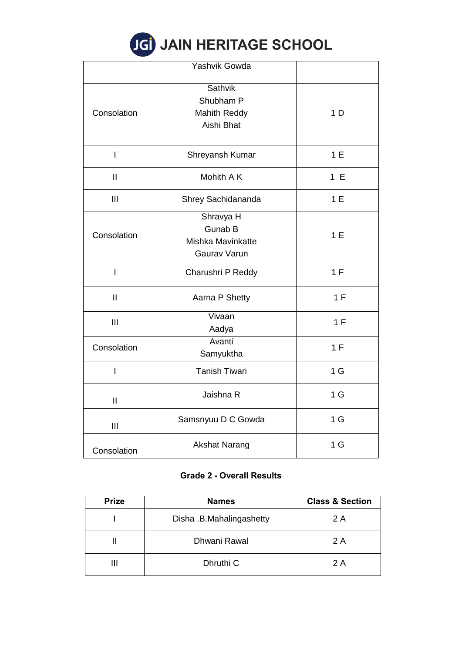# JGI JAIN HERITAGE SCHOOL

|                                                                                 | Yashvik Gowda                                             |                |
|---------------------------------------------------------------------------------|-----------------------------------------------------------|----------------|
| <b>Sathvik</b><br>Shubham P<br><b>Mahith Reddy</b><br>Consolation<br>Aishi Bhat |                                                           | 1 <sub>D</sub> |
| $\mathsf{I}$                                                                    | Shreyansh Kumar                                           | 1E             |
| $\mathbf{  }$                                                                   | Mohith A K                                                | 1 E            |
| III                                                                             | Shrey Sachidananda                                        | 1E             |
| Consolation                                                                     | Shravya H<br>Gunab B<br>Mishka Mavinkatte<br>Gaurav Varun |                |
| $\overline{1}$                                                                  | Charushri P Reddy                                         | 1 F            |
| $\mathbf{I}$                                                                    | Aarna P Shetty                                            | 1 F            |
| III                                                                             | Vivaan<br>Aadya                                           |                |
| Consolation                                                                     | Avanti<br>Samyuktha                                       |                |
| I                                                                               | <b>Tanish Tiwari</b>                                      | 1 <sub>G</sub> |
| $\mathbf{I}$                                                                    | Jaishna R                                                 | 1 <sub>G</sub> |
| Ш                                                                               | Samsnyuu D C Gowda                                        | 1 <sub>G</sub> |
| Consolation                                                                     | <b>Akshat Narang</b>                                      | 1 <sub>G</sub> |

### **Grade 2 - Overall Results**

| <b>Prize</b> | <b>Names</b>             | <b>Class &amp; Section</b> |
|--------------|--------------------------|----------------------------|
|              | Disha .B.Mahalingashetty | 2 A                        |
|              | Dhwani Rawal             | 2 A                        |
|              | Dhruthi C                | 2 A                        |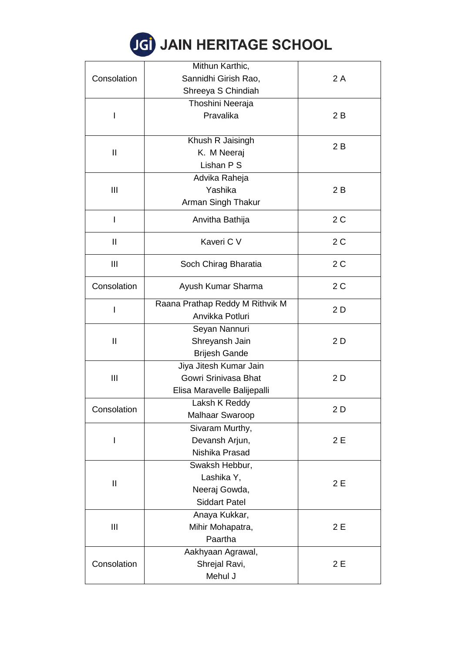| <b>JGI JAIN HERITAGE SCHOOL</b> |  |
|---------------------------------|--|
|---------------------------------|--|

|                            | Mithun Karthic,                        |     |  |
|----------------------------|----------------------------------------|-----|--|
| Consolation                | Sannidhi Girish Rao,                   | 2A  |  |
|                            | Shreeya S Chindiah                     |     |  |
|                            | Thoshini Neeraja                       |     |  |
| I                          | Pravalika                              | 2B  |  |
|                            |                                        |     |  |
|                            | Khush R Jaisingh                       |     |  |
| $\mathbf{I}$               | K. M Neeraj                            | 2B  |  |
|                            | Lishan P S                             |     |  |
|                            | Advika Raheja                          |     |  |
| Ш                          | Yashika                                | 2B  |  |
|                            | Arman Singh Thakur                     |     |  |
|                            |                                        |     |  |
|                            | Anvitha Bathija                        | 2C  |  |
| $\mathbf{I}$               | Kaveri C V                             | 2C  |  |
|                            |                                        |     |  |
| Ш                          | Soch Chirag Bharatia                   | 2C  |  |
| Consolation                | Ayush Kumar Sharma                     | 2C  |  |
|                            |                                        |     |  |
|                            | Raana Prathap Reddy M Rithvik M<br>2 D |     |  |
|                            | Anvikka Potluri                        |     |  |
|                            | Seyan Nannuri                          |     |  |
| $\mathbf{II}$              | Shreyansh Jain                         | 2D  |  |
|                            | <b>Brijesh Gande</b>                   |     |  |
|                            | Jiya Jitesh Kumar Jain                 |     |  |
| Ш                          | Gowri Srinivasa Bhat                   | 2D  |  |
|                            | Elisa Maravelle Balijepalli            |     |  |
|                            | Laksh K Reddy                          |     |  |
| Consolation                | <b>Malhaar Swaroop</b>                 | 2 D |  |
|                            | Sivaram Murthy,                        |     |  |
|                            | Devansh Arjun,                         | 2E  |  |
|                            | Nishika Prasad                         |     |  |
|                            | Swaksh Hebbur,                         |     |  |
|                            | Lashika Y,                             |     |  |
| $\mathop{\rm II}\nolimits$ | Neeraj Gowda,                          | 2E  |  |
|                            | <b>Siddart Patel</b>                   |     |  |
| Ш                          | Anaya Kukkar,                          |     |  |
|                            | Mihir Mohapatra,                       | 2E  |  |
|                            | Paartha                                |     |  |
|                            | Aakhyaan Agrawal,                      |     |  |
| Consolation                | Shrejal Ravi,<br>2E                    |     |  |
|                            | Mehul J                                |     |  |
|                            |                                        |     |  |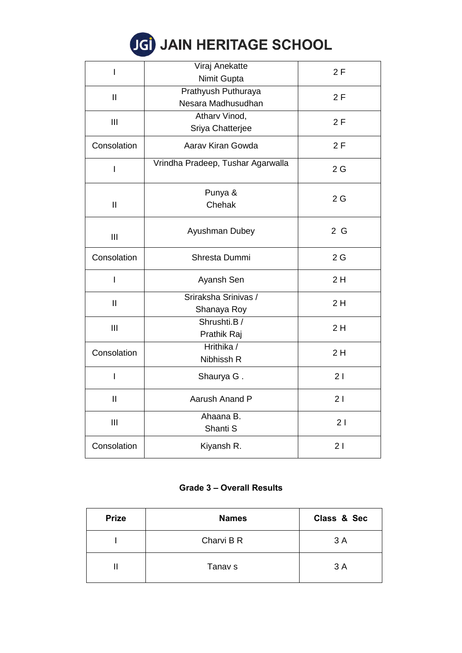# JGI JAIN HERITAGE SCHOOL

| I                                                   | Viraj Anekatte<br>Nimit Gupta             | 2F |
|-----------------------------------------------------|-------------------------------------------|----|
| $\mathbf{II}$                                       | Prathyush Puthuraya<br>Nesara Madhusudhan | 2F |
| III                                                 | Atharv Vinod,<br>Sriya Chatterjee         | 2F |
| Consolation                                         | Aarav Kiran Gowda                         | 2F |
| I                                                   | Vrindha Pradeep, Tushar Agarwalla         | 2G |
| $\mathbf{I}$                                        | Punya &<br>Chehak                         | 2G |
| III                                                 | Ayushman Dubey                            | 2G |
| Consolation                                         | Shresta Dummi                             | 2G |
| I                                                   | Ayansh Sen                                | 2H |
| Sriraksha Srinivas /<br>$\mathbf{I}$<br>Shanaya Roy |                                           | 2H |
| III                                                 | Shrushti.B/<br>Prathik Raj                |    |
| Consolation                                         | Hrithika /<br>Nibhissh R                  |    |
| I                                                   | Shaurya G.                                | 21 |
| $\mathbf{I}$                                        | Aarush Anand P                            | 21 |
| III                                                 | Ahaana B.<br>Shanti S                     | 21 |
| Consolation                                         | Kiyansh R.                                | 21 |

### **Grade 3 – Overall Results**

| <b>Prize</b> | <b>Names</b> | Class & Sec |
|--------------|--------------|-------------|
|              | Charvi B R   | 3A          |
|              | Tanav s      | 3A          |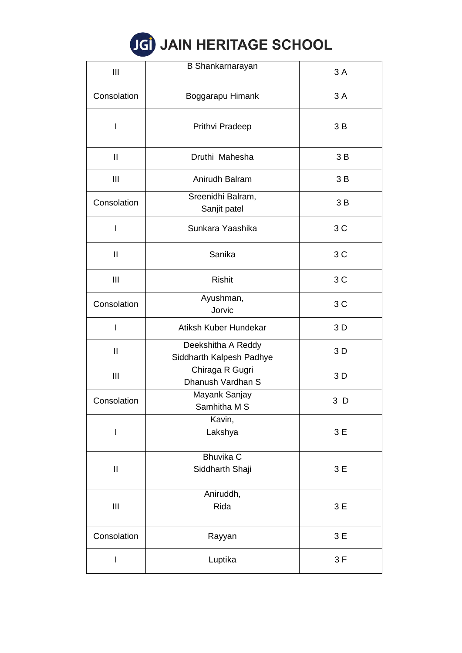|  |  |  | <b>JGI JAIN HERITAGE SCHOOL</b> |  |
|--|--|--|---------------------------------|--|
|--|--|--|---------------------------------|--|

| Ш                                            | <b>B</b> Shankarnarayan                        | 3A  |
|----------------------------------------------|------------------------------------------------|-----|
| Consolation                                  | Boggarapu Himank                               | 3A  |
| I                                            | Prithvi Pradeep                                | 3B  |
| $\mathbf{I}$                                 | Druthi Mahesha                                 | 3B  |
| Ш                                            | Anirudh Balram                                 | 3B  |
| Consolation                                  | Sreenidhi Balram,<br>Sanjit patel              | 3B  |
| I                                            | Sunkara Yaashika                               | 3C  |
| $\mathbf{I}$                                 | Sanika                                         | 3C  |
| Ш                                            | <b>Rishit</b>                                  | 3C  |
| Consolation                                  | Ayushman,<br>Jorvic                            | 3C  |
|                                              | Atiksh Kuber Hundekar                          | 3 D |
| $\mathbf{I}$                                 | Deekshitha A Reddy<br>Siddharth Kalpesh Padhye | 3 D |
| Ш                                            | Chiraga R Gugri<br>Dhanush Vardhan S           | 3 D |
| Mayank Sanjay<br>Consolation<br>Samhitha M S |                                                | 3 D |
| $\mathsf{I}$                                 | Kavin,<br>Lakshya                              | 3E  |
| $\mathbf{  }$                                | <b>Bhuvika C</b><br>Siddharth Shaji            | 3E  |
| $\mathbf{III}$                               | Aniruddh,<br>Rida                              | 3E  |
| Consolation                                  | Rayyan                                         | 3 E |
| I                                            | Luptika                                        | 3F  |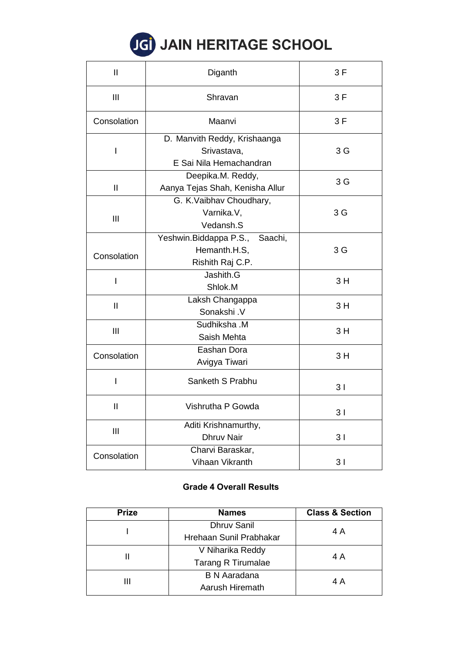# **JGI JAIN HERITAGE SCHOOL**

| $\mathsf{I}$                     | Diganth                                                                | 3F             |
|----------------------------------|------------------------------------------------------------------------|----------------|
| III                              | Shravan                                                                | 3F             |
| Consolation                      | Maanvi                                                                 | 3F             |
| I                                | D. Manvith Reddy, Krishaanga<br>Srivastava,<br>E Sai Nila Hemachandran | 3 G            |
| $\mathbf{I}$                     | Deepika.M. Reddy,<br>Aanya Tejas Shah, Kenisha Allur                   | 3 G            |
| Ш                                | G. K.Vaibhav Choudhary,<br>Varnika.V,<br>Vedansh.S                     | 3 G            |
| Consolation                      | Yeshwin. Biddappa P.S., Saachi,<br>Hemanth.H.S,<br>Rishith Raj C.P.    | 3 <sub>G</sub> |
| I                                | Jashith.G<br>Shlok.M                                                   | 3H             |
| $\mathbf{I}$                     | Laksh Changappa<br>Sonakshi.V                                          |                |
| Sudhiksha .M<br>Ш<br>Saish Mehta |                                                                        | 3H             |
| Consolation                      | Eashan Dora<br>Avigya Tiwari                                           | 3H             |
| I                                | Sanketh S Prabhu                                                       | 3 <sub>1</sub> |
| Ш                                | Vishrutha P Gowda                                                      | 31             |
| $\mathbf{III}$                   | Aditi Krishnamurthy,<br><b>Dhruv Nair</b>                              |                |
| Consolation                      | Charvi Baraskar,<br>Vihaan Vikranth                                    | 3 <sub>1</sub> |

### **Grade 4 Overall Results**

| <b>Prize</b> | <b>Names</b>              | <b>Class &amp; Section</b> |
|--------------|---------------------------|----------------------------|
|              | <b>Dhruv Sanil</b>        | 4 A                        |
|              | Hrehaan Sunil Prabhakar   |                            |
|              | V Niharika Reddy          | 4 A                        |
|              | <b>Tarang R Tirumalae</b> |                            |
| Ш            | <b>B N Aaradana</b>       |                            |
|              | Aarush Hiremath           | 4 A                        |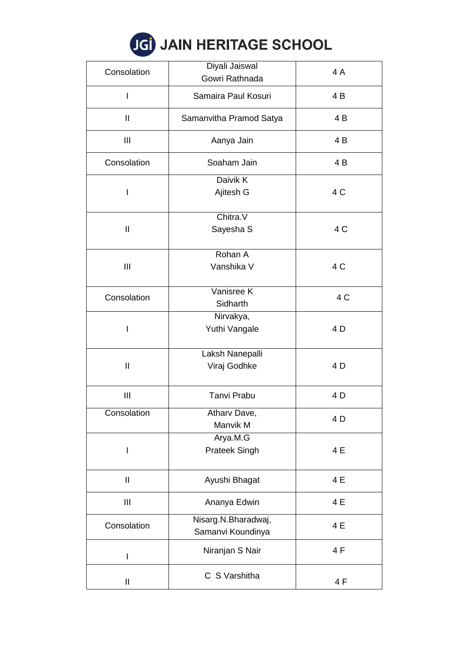|  |  | <b>IGI JAIN HERITAGE SCHOOL</b> |  |  |  |
|--|--|---------------------------------|--|--|--|
|--|--|---------------------------------|--|--|--|

| Consolation   | Diyali Jaiswal<br>Gowri Rathnada         | 4A  |  |
|---------------|------------------------------------------|-----|--|
| I             | Samaira Paul Kosuri                      | 4 B |  |
| Ш             | Samanvitha Pramod Satya                  | 4 B |  |
| Ш             | Aanya Jain                               | 4 B |  |
| Consolation   | Soaham Jain                              | 4 B |  |
|               | Daivik K                                 |     |  |
| I             | Ajitesh G                                | 4 C |  |
|               | Chitra.V                                 |     |  |
| $\mathbf{II}$ | Sayesha S                                | 4 C |  |
|               | Rohan A                                  |     |  |
| Ш             | Vanshika V                               | 4 C |  |
|               | Vanisree K                               |     |  |
| Consolation   | Sidharth                                 | 4 C |  |
|               | Nirvakya,                                |     |  |
| I             | Yuthi Vangale                            | 4 D |  |
|               | Laksh Nanepalli                          |     |  |
| $\mathbf{I}$  | Viraj Godhke                             | 4 D |  |
| Ш             | <b>Tanvi Prabu</b>                       | 4 D |  |
| Consolation   | Atharv Dave,                             |     |  |
|               | Manvik M                                 | 4 D |  |
|               | Arya.M.G                                 |     |  |
| I             | Prateek Singh                            | 4 E |  |
| $\mathbf{I}$  | Ayushi Bhagat                            | 4 E |  |
| Ш             | Ananya Edwin                             | 4 E |  |
| Consolation   | Nisarg.N.Bharadwaj,<br>Samanvi Koundinya | 4 E |  |
| I             | Niranjan S Nair                          | 4F  |  |
| $\sf II$      | C S Varshitha                            | 4F  |  |